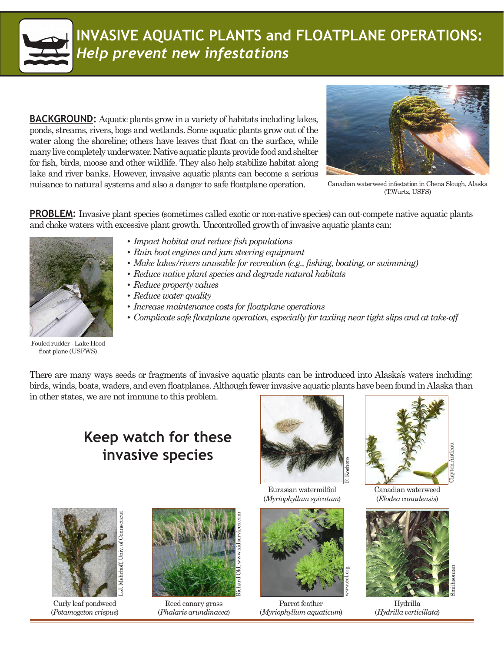

## **INVASIVE AQUATIC PLANTS and FLOATPLANE OPERATIONS:**  *Help prevent new infestations*

**BACKGROUND:** Aquatic plants grow in a variety of habitats including lakes, ponds, streams, rivers, bogs and wetlands. Some aquatic plants grow out of the water along the shoreline; others have leaves that float on the surface, while many live completely underwater. Native aquatic plants provide food and shelter for fish, birds, moose and other wildlife. They also help stabilize habitat along lake and river banks. However, invasive aquatic plants can become a serious nuisance to natural systems and also a danger to safe floatplane operation.



Canadian waterweed infestation in Chena Slough, Alaska (T.Wurtz, USFS)

**PROBLEM:** Invasive plant species (sometimes called exotic or non-native species) can out-compete native aquatic plants and choke waters with excessive plant growth. Uncontrolled growth of invasive aquatic plants can:



- *• Impact habitat and reduce fish populations*
- *• Ruin boat engines and jam steering equipment*
- *• Make lakes/rivers unusable for recreation (e.g., fishing, boating, or swimming)*
- *• Reduce native plant species and degrade natural habitats*
- *• Reduce property values*
- *• Reduce water quality*
- *• Increase maintenance costs for floatplane operations*
- *• Complicate safe floatplane operation, especially for taxiing near tight slips and at take-off*

Fouled rudder - Lake Hood float plane (USFWS)

There are many ways seeds or fragments of invasive aquatic plants can be introduced into Alaska's waters including: birds, winds, boats, waders, and even floatplanes. Although fewer invasive aquatic plants have been found in Alaska than

in other states, we are not immune to this problem.

#### **Keep watch for these invasive species**



Curly leaf pondweed (*Potamogeton crispus*)



Reed canary grass (*Phalaris arundinacea*)



Eurasian watermilfoil (*Myriophyllum spicatum*)



Parrot feather (*Myriophyllum aquaticum*)



Canadian waterweed (*Elodea canadensis*)



Hydrilla (*Hydrilla verticillata*)